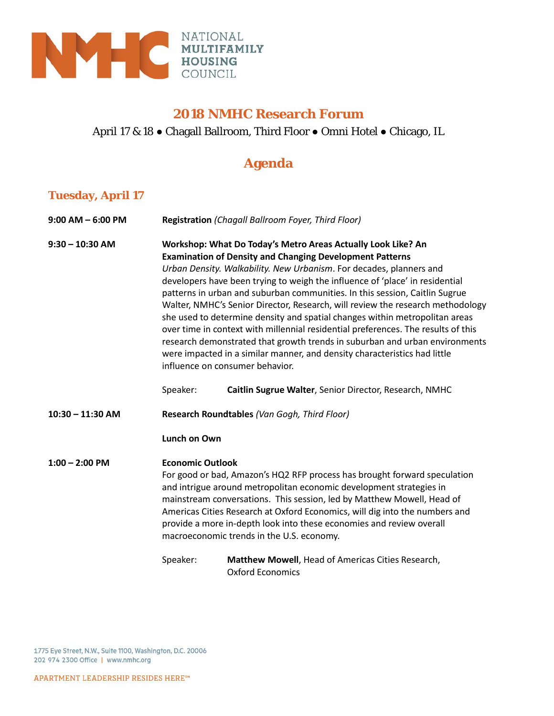

#### **2018 NMHC Research Forum**

### April 17 & 18 ● Chagall Ballroom, Third Floor ● Omni Hotel ● Chicago, IL

## **Agenda**

### **Tuesday, April 17**

| $9:00$ AM $-6:00$ PM | Registration (Chagall Ballroom Foyer, Third Floor)                                                                                                                                                                                                                                                                                                                                                                                                                                                                                                                                                                                                                                                                                                                                                                         |                                                                              |  |
|----------------------|----------------------------------------------------------------------------------------------------------------------------------------------------------------------------------------------------------------------------------------------------------------------------------------------------------------------------------------------------------------------------------------------------------------------------------------------------------------------------------------------------------------------------------------------------------------------------------------------------------------------------------------------------------------------------------------------------------------------------------------------------------------------------------------------------------------------------|------------------------------------------------------------------------------|--|
| $9:30 - 10:30$ AM    | Workshop: What Do Today's Metro Areas Actually Look Like? An<br><b>Examination of Density and Changing Development Patterns</b><br>Urban Density. Walkability. New Urbanism. For decades, planners and<br>developers have been trying to weigh the influence of 'place' in residential<br>patterns in urban and suburban communities. In this session, Caitlin Sugrue<br>Walter, NMHC's Senior Director, Research, will review the research methodology<br>she used to determine density and spatial changes within metropolitan areas<br>over time in context with millennial residential preferences. The results of this<br>research demonstrated that growth trends in suburban and urban environments<br>were impacted in a similar manner, and density characteristics had little<br>influence on consumer behavior. |                                                                              |  |
|                      | Speaker:                                                                                                                                                                                                                                                                                                                                                                                                                                                                                                                                                                                                                                                                                                                                                                                                                   | Caitlin Sugrue Walter, Senior Director, Research, NMHC                       |  |
| $10:30 - 11:30$ AM   | Research Roundtables (Van Gogh, Third Floor)                                                                                                                                                                                                                                                                                                                                                                                                                                                                                                                                                                                                                                                                                                                                                                               |                                                                              |  |
|                      | <b>Lunch on Own</b>                                                                                                                                                                                                                                                                                                                                                                                                                                                                                                                                                                                                                                                                                                                                                                                                        |                                                                              |  |
| $1:00 - 2:00$ PM     | <b>Economic Outlook</b><br>For good or bad, Amazon's HQ2 RFP process has brought forward speculation<br>and intrigue around metropolitan economic development strategies in<br>mainstream conversations. This session, led by Matthew Mowell, Head of<br>Americas Cities Research at Oxford Economics, will dig into the numbers and<br>provide a more in-depth look into these economies and review overall<br>macroeconomic trends in the U.S. economy.                                                                                                                                                                                                                                                                                                                                                                  |                                                                              |  |
|                      | Speaker:                                                                                                                                                                                                                                                                                                                                                                                                                                                                                                                                                                                                                                                                                                                                                                                                                   | Matthew Mowell, Head of Americas Cities Research,<br><b>Oxford Economics</b> |  |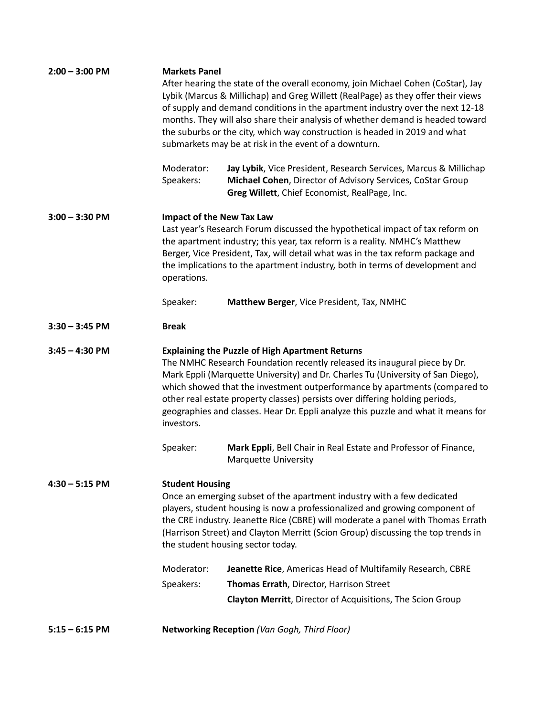| $2:00 - 3:00$ PM<br>$3:00 - 3:30$ PM | <b>Markets Panel</b><br>Moderator:<br>Speakers:<br><b>Impact of the New Tax Law</b>                                                                                                                                                                                                                                                                                                                                                                                                     | After hearing the state of the overall economy, join Michael Cohen (CoStar), Jay<br>Lybik (Marcus & Millichap) and Greg Willett (RealPage) as they offer their views<br>of supply and demand conditions in the apartment industry over the next 12-18<br>months. They will also share their analysis of whether demand is headed toward<br>the suburbs or the city, which way construction is headed in 2019 and what<br>submarkets may be at risk in the event of a downturn.<br>Jay Lybik, Vice President, Research Services, Marcus & Millichap<br>Michael Cohen, Director of Advisory Services, CoStar Group<br>Greg Willett, Chief Economist, RealPage, Inc. |  |
|--------------------------------------|-----------------------------------------------------------------------------------------------------------------------------------------------------------------------------------------------------------------------------------------------------------------------------------------------------------------------------------------------------------------------------------------------------------------------------------------------------------------------------------------|-------------------------------------------------------------------------------------------------------------------------------------------------------------------------------------------------------------------------------------------------------------------------------------------------------------------------------------------------------------------------------------------------------------------------------------------------------------------------------------------------------------------------------------------------------------------------------------------------------------------------------------------------------------------|--|
|                                      | operations.<br>Speaker:                                                                                                                                                                                                                                                                                                                                                                                                                                                                 | Last year's Research Forum discussed the hypothetical impact of tax reform on<br>the apartment industry; this year, tax reform is a reality. NMHC's Matthew<br>Berger, Vice President, Tax, will detail what was in the tax reform package and<br>the implications to the apartment industry, both in terms of development and<br>Matthew Berger, Vice President, Tax, NMHC                                                                                                                                                                                                                                                                                       |  |
| $3:30 - 3:45$ PM                     | <b>Break</b>                                                                                                                                                                                                                                                                                                                                                                                                                                                                            |                                                                                                                                                                                                                                                                                                                                                                                                                                                                                                                                                                                                                                                                   |  |
|                                      |                                                                                                                                                                                                                                                                                                                                                                                                                                                                                         |                                                                                                                                                                                                                                                                                                                                                                                                                                                                                                                                                                                                                                                                   |  |
| $3:45 - 4:30$ PM                     | <b>Explaining the Puzzle of High Apartment Returns</b><br>The NMHC Research Foundation recently released its inaugural piece by Dr.<br>Mark Eppli (Marquette University) and Dr. Charles Tu (University of San Diego),<br>which showed that the investment outperformance by apartments (compared to<br>other real estate property classes) persists over differing holding periods,<br>geographies and classes. Hear Dr. Eppli analyze this puzzle and what it means for<br>investors. |                                                                                                                                                                                                                                                                                                                                                                                                                                                                                                                                                                                                                                                                   |  |
|                                      | Speaker:                                                                                                                                                                                                                                                                                                                                                                                                                                                                                | Mark Eppli, Bell Chair in Real Estate and Professor of Finance,<br><b>Marquette University</b>                                                                                                                                                                                                                                                                                                                                                                                                                                                                                                                                                                    |  |
| $4:30 - 5:15$ PM                     | <b>Student Housing</b><br>Once an emerging subset of the apartment industry with a few dedicated<br>players, student housing is now a professionalized and growing component of<br>the CRE industry. Jeanette Rice (CBRE) will moderate a panel with Thomas Errath<br>(Harrison Street) and Clayton Merritt (Scion Group) discussing the top trends in<br>the student housing sector today.                                                                                             |                                                                                                                                                                                                                                                                                                                                                                                                                                                                                                                                                                                                                                                                   |  |
|                                      | Moderator:                                                                                                                                                                                                                                                                                                                                                                                                                                                                              | Jeanette Rice, Americas Head of Multifamily Research, CBRE                                                                                                                                                                                                                                                                                                                                                                                                                                                                                                                                                                                                        |  |
|                                      | Speakers:                                                                                                                                                                                                                                                                                                                                                                                                                                                                               | Thomas Errath, Director, Harrison Street                                                                                                                                                                                                                                                                                                                                                                                                                                                                                                                                                                                                                          |  |
|                                      |                                                                                                                                                                                                                                                                                                                                                                                                                                                                                         | <b>Clayton Merritt</b> , Director of Acquisitions, The Scion Group                                                                                                                                                                                                                                                                                                                                                                                                                                                                                                                                                                                                |  |
| $5:15 - 6:15$ PM                     |                                                                                                                                                                                                                                                                                                                                                                                                                                                                                         | Networking Reception (Van Gogh, Third Floor)                                                                                                                                                                                                                                                                                                                                                                                                                                                                                                                                                                                                                      |  |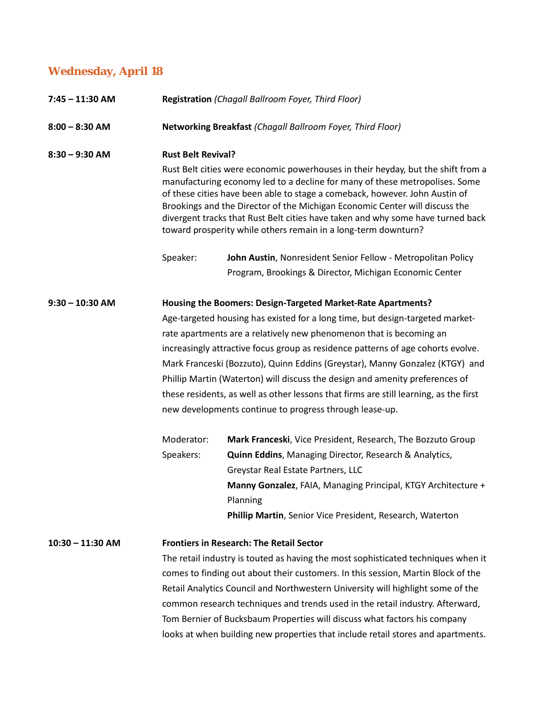# **Wednesday, April 18**

| 7:45 - 11:30 AM    |                         | Registration (Chagall Ballroom Foyer, Third Floor)<br>Networking Breakfast (Chagall Ballroom Foyer, Third Floor)                                                                                                                                                                                                                                                                                                                                                                                                                                                                                                             |  |  |
|--------------------|-------------------------|------------------------------------------------------------------------------------------------------------------------------------------------------------------------------------------------------------------------------------------------------------------------------------------------------------------------------------------------------------------------------------------------------------------------------------------------------------------------------------------------------------------------------------------------------------------------------------------------------------------------------|--|--|
| $8:00 - 8:30$ AM   |                         |                                                                                                                                                                                                                                                                                                                                                                                                                                                                                                                                                                                                                              |  |  |
| $8:30 - 9:30$ AM   | Speaker:                | <b>Rust Belt Revival?</b><br>Rust Belt cities were economic powerhouses in their heyday, but the shift from a<br>manufacturing economy led to a decline for many of these metropolises. Some<br>of these cities have been able to stage a comeback, however. John Austin of<br>Brookings and the Director of the Michigan Economic Center will discuss the<br>divergent tracks that Rust Belt cities have taken and why some have turned back<br>toward prosperity while others remain in a long-term downturn?<br>John Austin, Nonresident Senior Fellow - Metropolitan Policy                                              |  |  |
|                    |                         | Program, Brookings & Director, Michigan Economic Center                                                                                                                                                                                                                                                                                                                                                                                                                                                                                                                                                                      |  |  |
| $9:30 - 10:30$ AM  |                         | Housing the Boomers: Design-Targeted Market-Rate Apartments?<br>Age-targeted housing has existed for a long time, but design-targeted market-<br>rate apartments are a relatively new phenomenon that is becoming an<br>increasingly attractive focus group as residence patterns of age cohorts evolve.<br>Mark Franceski (Bozzuto), Quinn Eddins (Greystar), Manny Gonzalez (KTGY) and<br>Phillip Martin (Waterton) will discuss the design and amenity preferences of<br>these residents, as well as other lessons that firms are still learning, as the first<br>new developments continue to progress through lease-up. |  |  |
|                    | Moderator:<br>Speakers: | Mark Franceski, Vice President, Research, The Bozzuto Group<br><b>Quinn Eddins, Managing Director, Research &amp; Analytics,</b><br>Greystar Real Estate Partners, LLC<br>Manny Gonzalez, FAIA, Managing Principal, KTGY Architecture +<br>Planning<br>Phillip Martin, Senior Vice President, Research, Waterton                                                                                                                                                                                                                                                                                                             |  |  |
| $10:30 - 11:30$ AM |                         | <b>Frontiers in Research: The Retail Sector</b><br>The retail industry is touted as having the most sophisticated techniques when it<br>comes to finding out about their customers. In this session, Martin Block of the<br>Retail Analytics Council and Northwestern University will highlight some of the<br>common research techniques and trends used in the retail industry. Afterward,<br>Tom Bernier of Bucksbaum Properties will discuss what factors his company<br>looks at when building new properties that include retail stores and apartments.                                                                |  |  |